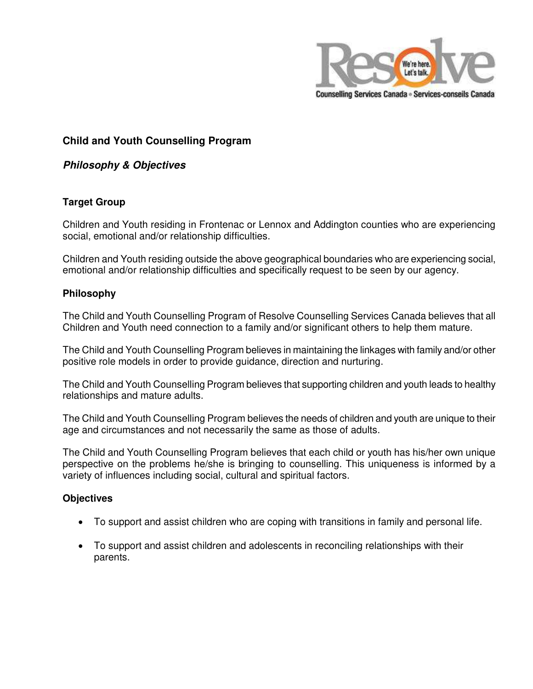

# **Child and Youth Counselling Program**

## **Philosophy & Objectives**

### **Target Group**

Children and Youth residing in Frontenac or Lennox and Addington counties who are experiencing social, emotional and/or relationship difficulties.

Children and Youth residing outside the above geographical boundaries who are experiencing social, emotional and/or relationship difficulties and specifically request to be seen by our agency.

### **Philosophy**

The Child and Youth Counselling Program of Resolve Counselling Services Canada believes that all Children and Youth need connection to a family and/or significant others to help them mature.

The Child and Youth Counselling Program believes in maintaining the linkages with family and/or other positive role models in order to provide guidance, direction and nurturing.

The Child and Youth Counselling Program believes that supporting children and youth leads to healthy relationships and mature adults.

The Child and Youth Counselling Program believes the needs of children and youth are unique to their age and circumstances and not necessarily the same as those of adults.

The Child and Youth Counselling Program believes that each child or youth has his/her own unique perspective on the problems he/she is bringing to counselling. This uniqueness is informed by a variety of influences including social, cultural and spiritual factors.

### **Objectives**

- To support and assist children who are coping with transitions in family and personal life.
- To support and assist children and adolescents in reconciling relationships with their parents.